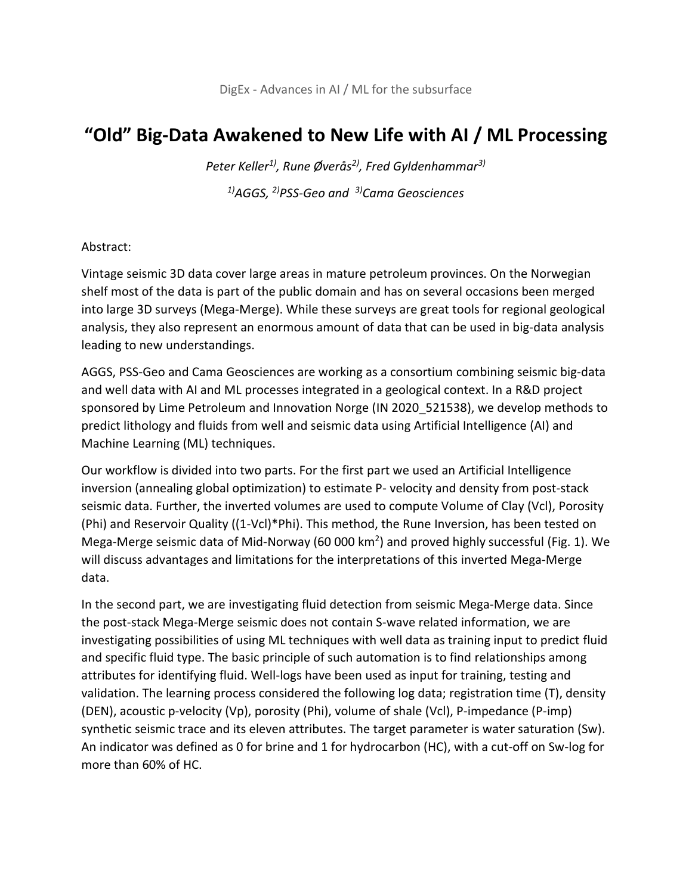## **"Old" Big-Data Awakened to New Life with AI / ML Processing**

*Peter Keller1), Rune Øverås2) , Fred Gyldenhammar3) 1)AGGS, 2)PSS-Geo and 3)Cama Geosciences*

## Abstract:

Vintage seismic 3D data cover large areas in mature petroleum provinces. On the Norwegian shelf most of the data is part of the public domain and has on several occasions been merged into large 3D surveys (Mega-Merge). While these surveys are great tools for regional geological analysis, they also represent an enormous amount of data that can be used in big-data analysis leading to new understandings.

AGGS, PSS-Geo and Cama Geosciences are working as a consortium combining seismic big-data and well data with AI and ML processes integrated in a geological context. In a R&D project sponsored by Lime Petroleum and Innovation Norge (IN 2020\_521538), we develop methods to predict lithology and fluids from well and seismic data using Artificial Intelligence (AI) and Machine Learning (ML) techniques.

Our workflow is divided into two parts. For the first part we used an Artificial Intelligence inversion (annealing global optimization) to estimate P- velocity and density from post-stack seismic data. Further, the inverted volumes are used to compute Volume of Clay (Vcl), Porosity (Phi) and Reservoir Quality ((1-Vcl)\*Phi). This method, the Rune Inversion, has been tested on Mega-Merge seismic data of Mid-Norway (60 000  $km^2$ ) and proved highly successful (Fig. 1). We will discuss advantages and limitations for the interpretations of this inverted Mega-Merge data.

In the second part, we are investigating fluid detection from seismic Mega-Merge data. Since the post-stack Mega-Merge seismic does not contain S-wave related information, we are investigating possibilities of using ML techniques with well data as training input to predict fluid and specific fluid type. The basic principle of such automation is to find relationships among attributes for identifying fluid. Well-logs have been used as input for training, testing and validation. The learning process considered the following log data; registration time (T), density (DEN), acoustic p-velocity (Vp), porosity (Phi), volume of shale (Vcl), P-impedance (P-imp) synthetic seismic trace and its eleven attributes. The target parameter is water saturation (Sw). An indicator was defined as 0 for brine and 1 for hydrocarbon (HC), with a cut-off on Sw-log for more than 60% of HC.